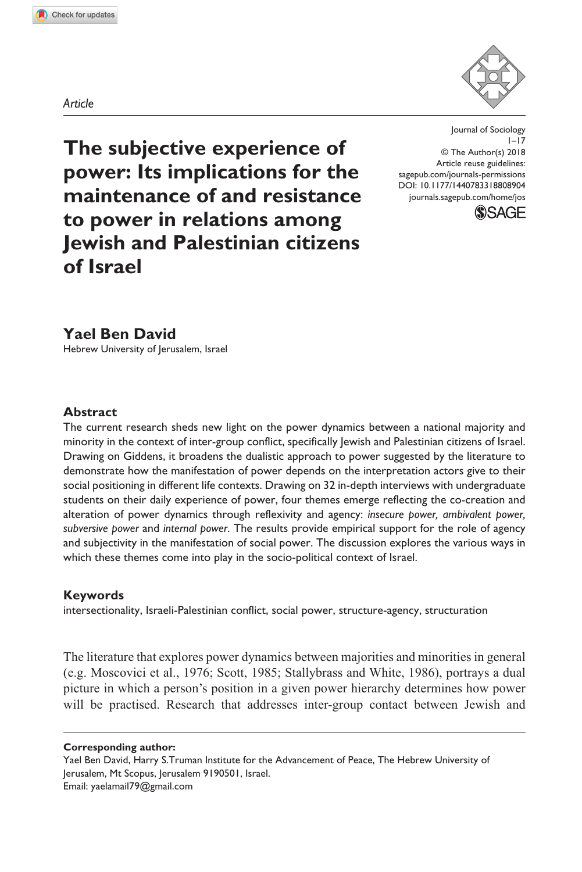**8089[04](http://crossmark.crossref.org/dialog/?doi=10.1177%2F1440783318808904&domain=pdf&date_stamp=2018-10-31)**JOS0010.1177/1440783318808904Journal of Sociology**Ben David**



**The subjective experience of power: Its implications for the maintenance of and resistance to power in relations among Jewish and Palestinian citizens of Israel**

DOI: 10.1177/1440783318808904 Journal of Sociology  $1 - 17$ © The Author(s) 2018 Article reuse guidelines: [sagepub.com/journals-permissions](https://uk.sagepub.com/en-gb/journals-permissions) [journals.sagepub.com/home/jos](https://journals.sagepub.com/home/jos)



**Yael Ben David**

Hebrew University of Jerusalem, Israel

#### **Abstract**

The current research sheds new light on the power dynamics between a national majority and minority in the context of inter-group conflict, specifically Jewish and Palestinian citizens of Israel. Drawing on Giddens, it broadens the dualistic approach to power suggested by the literature to demonstrate how the manifestation of power depends on the interpretation actors give to their social positioning in different life contexts. Drawing on 32 in-depth interviews with undergraduate students on their daily experience of power, four themes emerge reflecting the co-creation and alteration of power dynamics through reflexivity and agency: *insecure power, ambivalent power, subversive power* and *internal power*. The results provide empirical support for the role of agency and subjectivity in the manifestation of social power. The discussion explores the various ways in which these themes come into play in the socio-political context of Israel.

#### **Keywords**

intersectionality, Israeli-Palestinian conflict, social power, structure-agency, structuration

The literature that explores power dynamics between majorities and minorities in general (e.g. Moscovici et al., 1976; Scott, 1985; Stallybrass and White, 1986), portrays a dual picture in which a person's position in a given power hierarchy determines how power will be practised. Research that addresses inter-group contact between Jewish and

**Corresponding author:**

#### *Article*

Yael Ben David, Harry S.Truman Institute for the Advancement of Peace, The Hebrew University of Jerusalem, Mt Scopus, Jerusalem 9190501, Israel. Email: [yaelamail79@gmail.com](mailto:yaelamail79@gmail.com)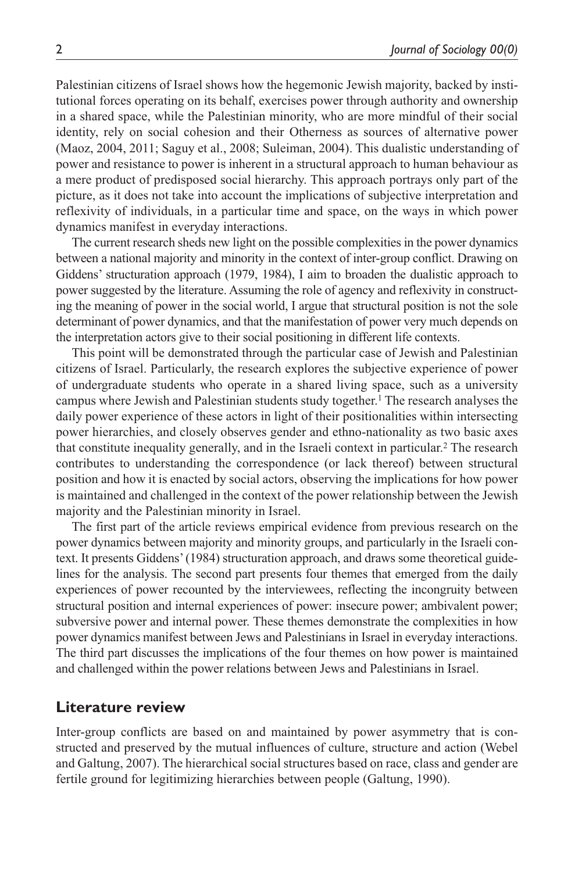Palestinian citizens of Israel shows how the hegemonic Jewish majority, backed by institutional forces operating on its behalf, exercises power through authority and ownership in a shared space, while the Palestinian minority, who are more mindful of their social identity, rely on social cohesion and their Otherness as sources of alternative power (Maoz, 2004, 2011; Saguy et al., 2008; Suleiman, 2004). This dualistic understanding of power and resistance to power is inherent in a structural approach to human behaviour as a mere product of predisposed social hierarchy. This approach portrays only part of the picture, as it does not take into account the implications of subjective interpretation and reflexivity of individuals, in a particular time and space, on the ways in which power dynamics manifest in everyday interactions.

The current research sheds new light on the possible complexities in the power dynamics between a national majority and minority in the context of inter-group conflict. Drawing on Giddens' structuration approach (1979, 1984), I aim to broaden the dualistic approach to power suggested by the literature. Assuming the role of agency and reflexivity in constructing the meaning of power in the social world, I argue that structural position is not the sole determinant of power dynamics, and that the manifestation of power very much depends on the interpretation actors give to their social positioning in different life contexts.

This point will be demonstrated through the particular case of Jewish and Palestinian citizens of Israel. Particularly, the research explores the subjective experience of power of undergraduate students who operate in a shared living space, such as a university campus where Jewish and Palestinian students study together.1 The research analyses the daily power experience of these actors in light of their positionalities within intersecting power hierarchies, and closely observes gender and ethno-nationality as two basic axes that constitute inequality generally, and in the Israeli context in particular.2 The research contributes to understanding the correspondence (or lack thereof) between structural position and how it is enacted by social actors, observing the implications for how power is maintained and challenged in the context of the power relationship between the Jewish majority and the Palestinian minority in Israel.

The first part of the article reviews empirical evidence from previous research on the power dynamics between majority and minority groups, and particularly in the Israeli context. It presents Giddens' (1984) structuration approach, and draws some theoretical guidelines for the analysis. The second part presents four themes that emerged from the daily experiences of power recounted by the interviewees, reflecting the incongruity between structural position and internal experiences of power: insecure power; ambivalent power; subversive power and internal power. These themes demonstrate the complexities in how power dynamics manifest between Jews and Palestinians in Israel in everyday interactions. The third part discusses the implications of the four themes on how power is maintained and challenged within the power relations between Jews and Palestinians in Israel.

### **Literature review**

Inter-group conflicts are based on and maintained by power asymmetry that is constructed and preserved by the mutual influences of culture, structure and action (Webel and Galtung, 2007). The hierarchical social structures based on race, class and gender are fertile ground for legitimizing hierarchies between people (Galtung, 1990).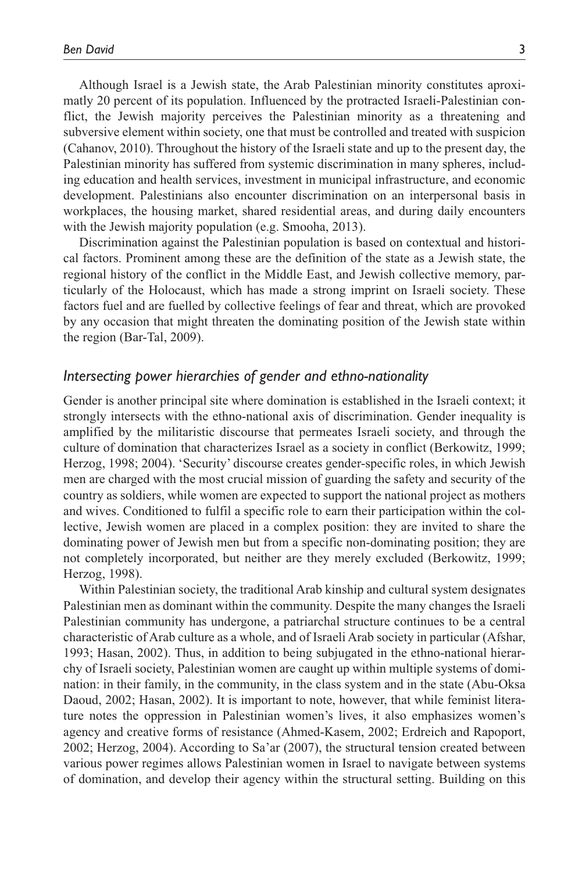Although Israel is a Jewish state, the Arab Palestinian minority constitutes aproximatly 20 percent of its population. Influenced by the protracted Israeli-Palestinian conflict, the Jewish majority perceives the Palestinian minority as a threatening and subversive element within society, one that must be controlled and treated with suspicion (Cahanov, 2010). Throughout the history of the Israeli state and up to the present day, the Palestinian minority has suffered from systemic discrimination in many spheres, including education and health services, investment in municipal infrastructure, and economic development. Palestinians also encounter discrimination on an interpersonal basis in workplaces, the housing market, shared residential areas, and during daily encounters with the Jewish majority population (e.g. Smooha, 2013).

Discrimination against the Palestinian population is based on contextual and historical factors. Prominent among these are the definition of the state as a Jewish state, the regional history of the conflict in the Middle East, and Jewish collective memory, particularly of the Holocaust, which has made a strong imprint on Israeli society. These factors fuel and are fuelled by collective feelings of fear and threat, which are provoked by any occasion that might threaten the dominating position of the Jewish state within the region (Bar-Tal, 2009).

### *Intersecting power hierarchies of gender and ethno-nationality*

Gender is another principal site where domination is established in the Israeli context; it strongly intersects with the ethno-national axis of discrimination. Gender inequality is amplified by the militaristic discourse that permeates Israeli society, and through the culture of domination that characterizes Israel as a society in conflict (Berkowitz, 1999; Herzog, 1998; 2004). 'Security' discourse creates gender-specific roles, in which Jewish men are charged with the most crucial mission of guarding the safety and security of the country as soldiers, while women are expected to support the national project as mothers and wives. Conditioned to fulfil a specific role to earn their participation within the collective, Jewish women are placed in a complex position: they are invited to share the dominating power of Jewish men but from a specific non-dominating position; they are not completely incorporated, but neither are they merely excluded (Berkowitz, 1999; Herzog, 1998).

Within Palestinian society, the traditional Arab kinship and cultural system designates Palestinian men as dominant within the community. Despite the many changes the Israeli Palestinian community has undergone, a patriarchal structure continues to be a central characteristic of Arab culture as a whole, and of Israeli Arab society in particular (Afshar, 1993; Hasan, 2002). Thus, in addition to being subjugated in the ethno-national hierarchy of Israeli society, Palestinian women are caught up within multiple systems of domination: in their family, in the community, in the class system and in the state (Abu-Oksa Daoud, 2002; Hasan, 2002). It is important to note, however, that while feminist literature notes the oppression in Palestinian women's lives, it also emphasizes women's agency and creative forms of resistance (Ahmed-Kasem, 2002; Erdreich and Rapoport, 2002; Herzog, 2004). According to Sa'ar (2007), the structural tension created between various power regimes allows Palestinian women in Israel to navigate between systems of domination, and develop their agency within the structural setting. Building on this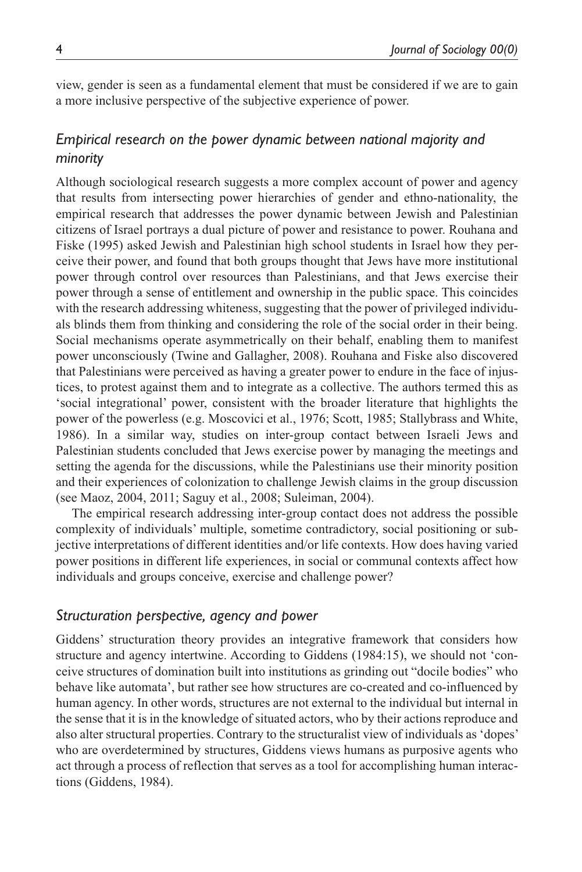view, gender is seen as a fundamental element that must be considered if we are to gain a more inclusive perspective of the subjective experience of power.

# *Empirical research on the power dynamic between national majority and minority*

Although sociological research suggests a more complex account of power and agency that results from intersecting power hierarchies of gender and ethno-nationality, the empirical research that addresses the power dynamic between Jewish and Palestinian citizens of Israel portrays a dual picture of power and resistance to power. Rouhana and Fiske (1995) asked Jewish and Palestinian high school students in Israel how they perceive their power, and found that both groups thought that Jews have more institutional power through control over resources than Palestinians, and that Jews exercise their power through a sense of entitlement and ownership in the public space. This coincides with the research addressing whiteness, suggesting that the power of privileged individuals blinds them from thinking and considering the role of the social order in their being. Social mechanisms operate asymmetrically on their behalf, enabling them to manifest power unconsciously (Twine and Gallagher, 2008). Rouhana and Fiske also discovered that Palestinians were perceived as having a greater power to endure in the face of injustices, to protest against them and to integrate as a collective. The authors termed this as 'social integrational' power, consistent with the broader literature that highlights the power of the powerless (e.g. Moscovici et al., 1976; Scott, 1985; Stallybrass and White, 1986). In a similar way, studies on inter-group contact between Israeli Jews and Palestinian students concluded that Jews exercise power by managing the meetings and setting the agenda for the discussions, while the Palestinians use their minority position and their experiences of colonization to challenge Jewish claims in the group discussion (see Maoz, 2004, 2011; Saguy et al., 2008; Suleiman, 2004).

The empirical research addressing inter-group contact does not address the possible complexity of individuals' multiple, sometime contradictory, social positioning or subjective interpretations of different identities and/or life contexts. How does having varied power positions in different life experiences, in social or communal contexts affect how individuals and groups conceive, exercise and challenge power?

#### *Structuration perspective, agency and power*

Giddens' structuration theory provides an integrative framework that considers how structure and agency intertwine. According to Giddens (1984:15), we should not 'conceive structures of domination built into institutions as grinding out "docile bodies" who behave like automata', but rather see how structures are co-created and co-influenced by human agency. In other words, structures are not external to the individual but internal in the sense that it is in the knowledge of situated actors, who by their actions reproduce and also alter structural properties. Contrary to the structuralist view of individuals as 'dopes' who are overdetermined by structures, Giddens views humans as purposive agents who act through a process of reflection that serves as a tool for accomplishing human interactions (Giddens, 1984).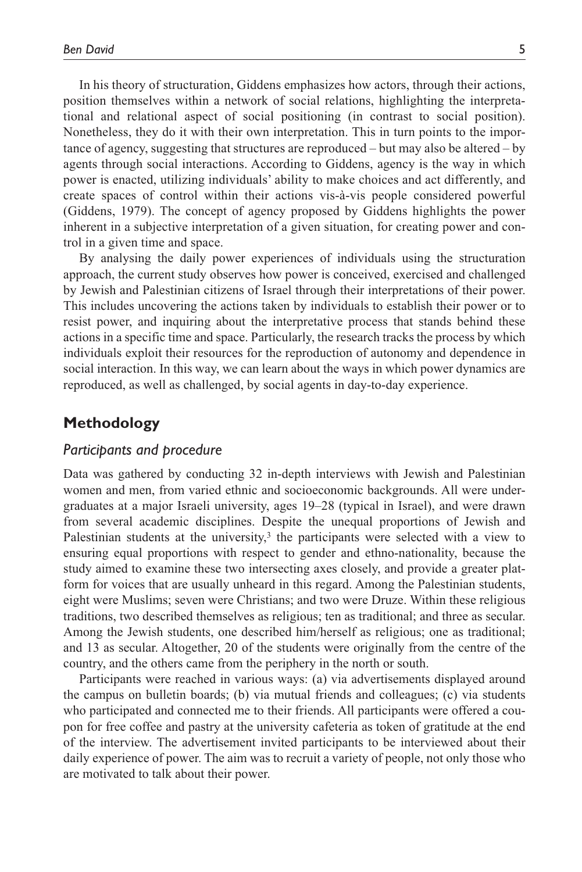In his theory of structuration, Giddens emphasizes how actors, through their actions, position themselves within a network of social relations, highlighting the interpretational and relational aspect of social positioning (in contrast to social position). Nonetheless, they do it with their own interpretation. This in turn points to the importance of agency, suggesting that structures are reproduced – but may also be altered – by agents through social interactions. According to Giddens, agency is the way in which power is enacted, utilizing individuals' ability to make choices and act differently, and create spaces of control within their actions vis-à-vis people considered powerful (Giddens, 1979). The concept of agency proposed by Giddens highlights the power inherent in a subjective interpretation of a given situation, for creating power and control in a given time and space.

By analysing the daily power experiences of individuals using the structuration approach, the current study observes how power is conceived, exercised and challenged by Jewish and Palestinian citizens of Israel through their interpretations of their power. This includes uncovering the actions taken by individuals to establish their power or to resist power, and inquiring about the interpretative process that stands behind these actions in a specific time and space. Particularly, the research tracks the process by which individuals exploit their resources for the reproduction of autonomy and dependence in social interaction. In this way, we can learn about the ways in which power dynamics are reproduced, as well as challenged, by social agents in day-to-day experience.

## **Methodology**

#### *Participants and procedure*

Data was gathered by conducting 32 in-depth interviews with Jewish and Palestinian women and men, from varied ethnic and socioeconomic backgrounds. All were undergraduates at a major Israeli university, ages 19–28 (typical in Israel), and were drawn from several academic disciplines. Despite the unequal proportions of Jewish and Palestinian students at the university,<sup>3</sup> the participants were selected with a view to ensuring equal proportions with respect to gender and ethno-nationality, because the study aimed to examine these two intersecting axes closely, and provide a greater platform for voices that are usually unheard in this regard. Among the Palestinian students, eight were Muslims; seven were Christians; and two were Druze. Within these religious traditions, two described themselves as religious; ten as traditional; and three as secular. Among the Jewish students, one described him/herself as religious; one as traditional; and 13 as secular. Altogether, 20 of the students were originally from the centre of the country, and the others came from the periphery in the north or south.

Participants were reached in various ways: (a) via advertisements displayed around the campus on bulletin boards; (b) via mutual friends and colleagues; (c) via students who participated and connected me to their friends. All participants were offered a coupon for free coffee and pastry at the university cafeteria as token of gratitude at the end of the interview. The advertisement invited participants to be interviewed about their daily experience of power. The aim was to recruit a variety of people, not only those who are motivated to talk about their power.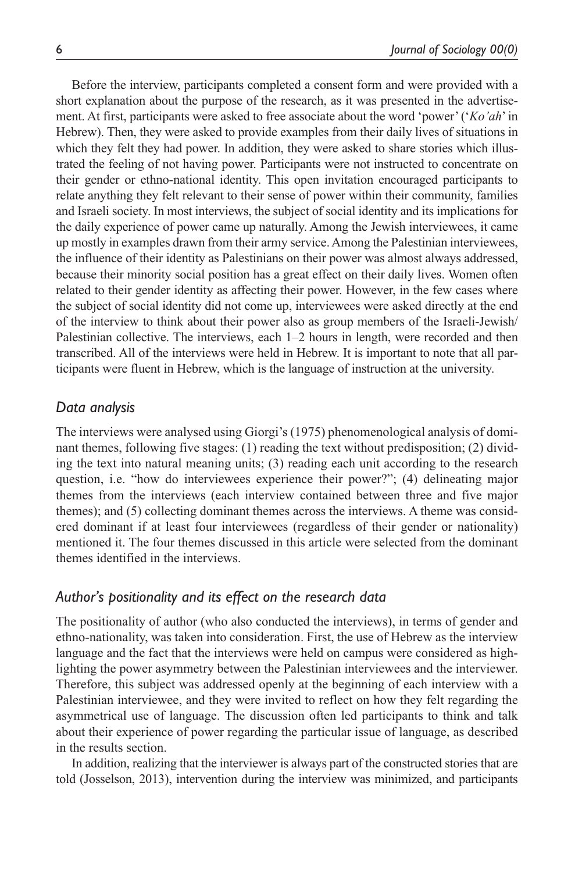Before the interview, participants completed a consent form and were provided with a short explanation about the purpose of the research, as it was presented in the advertisement. At first, participants were asked to free associate about the word 'power' ('*Ko'ah*' in Hebrew). Then, they were asked to provide examples from their daily lives of situations in which they felt they had power. In addition, they were asked to share stories which illustrated the feeling of not having power. Participants were not instructed to concentrate on their gender or ethno-national identity. This open invitation encouraged participants to relate anything they felt relevant to their sense of power within their community, families and Israeli society. In most interviews, the subject of social identity and its implications for the daily experience of power came up naturally. Among the Jewish interviewees, it came up mostly in examples drawn from their army service. Among the Palestinian interviewees, the influence of their identity as Palestinians on their power was almost always addressed, because their minority social position has a great effect on their daily lives. Women often related to their gender identity as affecting their power. However, in the few cases where the subject of social identity did not come up, interviewees were asked directly at the end of the interview to think about their power also as group members of the Israeli-Jewish/ Palestinian collective. The interviews, each 1–2 hours in length, were recorded and then transcribed. All of the interviews were held in Hebrew. It is important to note that all participants were fluent in Hebrew, which is the language of instruction at the university.

## *Data analysis*

The interviews were analysed using Giorgi's (1975) phenomenological analysis of dominant themes, following five stages: (1) reading the text without predisposition; (2) dividing the text into natural meaning units; (3) reading each unit according to the research question, i.e. "how do interviewees experience their power?"; (4) delineating major themes from the interviews (each interview contained between three and five major themes); and (5) collecting dominant themes across the interviews. A theme was considered dominant if at least four interviewees (regardless of their gender or nationality) mentioned it. The four themes discussed in this article were selected from the dominant themes identified in the interviews.

## *Author's positionality and its effect on the research data*

The positionality of author (who also conducted the interviews), in terms of gender and ethno-nationality, was taken into consideration. First, the use of Hebrew as the interview language and the fact that the interviews were held on campus were considered as highlighting the power asymmetry between the Palestinian interviewees and the interviewer. Therefore, this subject was addressed openly at the beginning of each interview with a Palestinian interviewee, and they were invited to reflect on how they felt regarding the asymmetrical use of language. The discussion often led participants to think and talk about their experience of power regarding the particular issue of language, as described in the results section.

In addition, realizing that the interviewer is always part of the constructed stories that are told (Josselson, 2013), intervention during the interview was minimized, and participants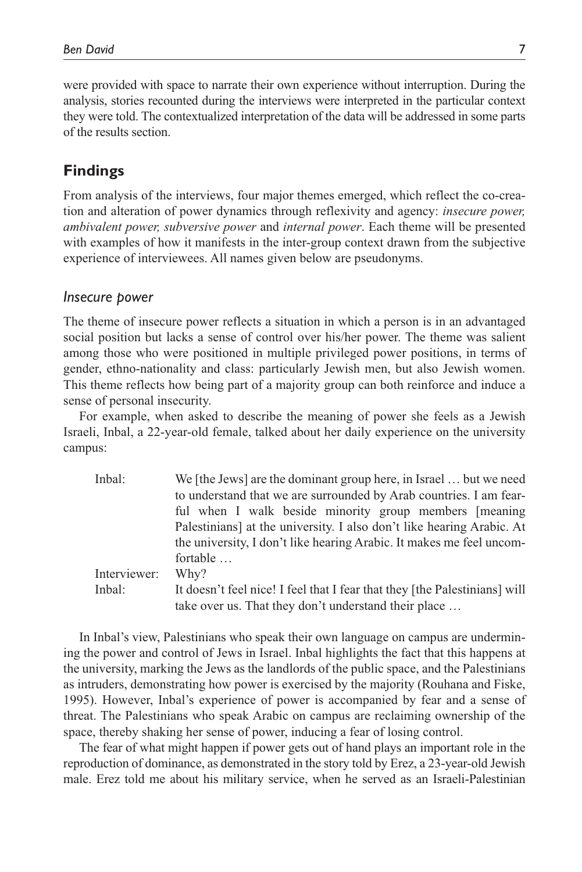were provided with space to narrate their own experience without interruption. During the analysis, stories recounted during the interviews were interpreted in the particular context they were told. The contextualized interpretation of the data will be addressed in some parts of the results section.

# **Findings**

From analysis of the interviews, four major themes emerged, which reflect the co-creation and alteration of power dynamics through reflexivity and agency: *insecure power, ambivalent power, subversive power* and *internal power*. Each theme will be presented with examples of how it manifests in the inter-group context drawn from the subjective experience of interviewees. All names given below are pseudonyms.

## *Insecure power*

The theme of insecure power reflects a situation in which a person is in an advantaged social position but lacks a sense of control over his/her power. The theme was salient among those who were positioned in multiple privileged power positions, in terms of gender, ethno-nationality and class: particularly Jewish men, but also Jewish women. This theme reflects how being part of a majority group can both reinforce and induce a sense of personal insecurity.

For example, when asked to describe the meaning of power she feels as a Jewish Israeli, Inbal, a 22-year-old female, talked about her daily experience on the university campus:

| Inbal:       | We [the Jews] are the dominant group here, in Israel  but we need          |
|--------------|----------------------------------------------------------------------------|
|              | to understand that we are surrounded by Arab countries. I am fear-         |
|              | ful when I walk beside minority group members [meaning]                    |
|              | Palestinians] at the university. I also don't like hearing Arabic. At      |
|              | the university, I don't like hearing Arabic. It makes me feel uncom-       |
|              | fortable                                                                   |
| Interviewer: | Why?                                                                       |
| Inbal:       | It doesn't feel nice! I feel that I fear that they [the Palestinians] will |
|              | take over us. That they don't understand their place                       |

In Inbal's view, Palestinians who speak their own language on campus are undermining the power and control of Jews in Israel. Inbal highlights the fact that this happens at the university, marking the Jews as the landlords of the public space, and the Palestinians as intruders, demonstrating how power is exercised by the majority (Rouhana and Fiske, 1995). However, Inbal's experience of power is accompanied by fear and a sense of threat. The Palestinians who speak Arabic on campus are reclaiming ownership of the space, thereby shaking her sense of power, inducing a fear of losing control.

The fear of what might happen if power gets out of hand plays an important role in the reproduction of dominance, as demonstrated in the story told by Erez, a 23-year-old Jewish male. Erez told me about his military service, when he served as an Israeli-Palestinian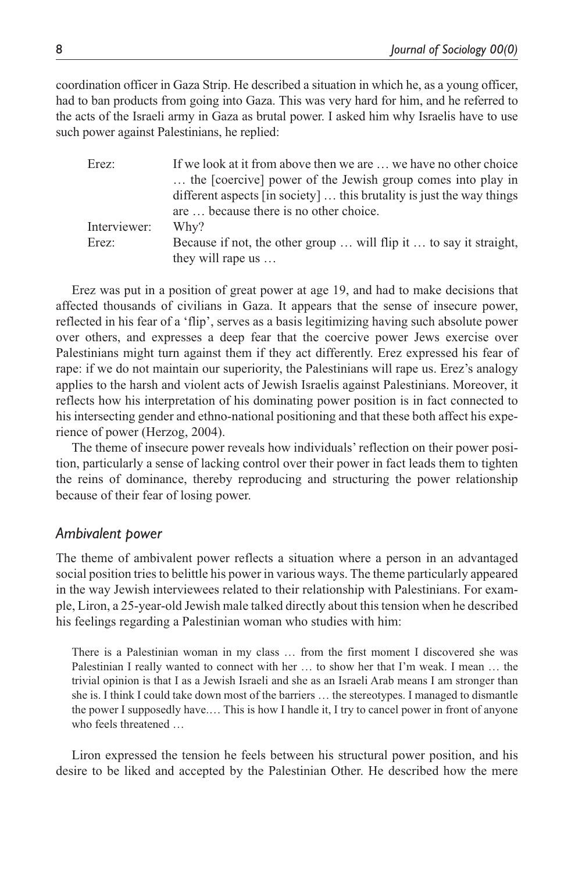coordination officer in Gaza Strip. He described a situation in which he, as a young officer, had to ban products from going into Gaza. This was very hard for him, and he referred to the acts of the Israeli army in Gaza as brutal power. I asked him why Israelis have to use such power against Palestinians, he replied:

| Erez:        | If we look at it from above then we are  we have no other choice                        |
|--------------|-----------------------------------------------------------------------------------------|
|              | the [coercive] power of the Jewish group comes into play in                             |
|              | different aspects [in society]  this brutality is just the way things                   |
|              | are  because there is no other choice.                                                  |
| Interviewer: | Why?                                                                                    |
| Erez:        | Because if not, the other group  will flip it  to say it straight,<br>they will rape us |
|              |                                                                                         |

Erez was put in a position of great power at age 19, and had to make decisions that affected thousands of civilians in Gaza. It appears that the sense of insecure power, reflected in his fear of a 'flip', serves as a basis legitimizing having such absolute power over others, and expresses a deep fear that the coercive power Jews exercise over Palestinians might turn against them if they act differently. Erez expressed his fear of rape: if we do not maintain our superiority, the Palestinians will rape us. Erez's analogy applies to the harsh and violent acts of Jewish Israelis against Palestinians. Moreover, it reflects how his interpretation of his dominating power position is in fact connected to his intersecting gender and ethno-national positioning and that these both affect his experience of power (Herzog, 2004).

The theme of insecure power reveals how individuals' reflection on their power position, particularly a sense of lacking control over their power in fact leads them to tighten the reins of dominance, thereby reproducing and structuring the power relationship because of their fear of losing power.

#### *Ambivalent power*

The theme of ambivalent power reflects a situation where a person in an advantaged social position tries to belittle his power in various ways. The theme particularly appeared in the way Jewish interviewees related to their relationship with Palestinians. For example, Liron, a 25-year-old Jewish male talked directly about this tension when he described his feelings regarding a Palestinian woman who studies with him:

There is a Palestinian woman in my class … from the first moment I discovered she was Palestinian I really wanted to connect with her … to show her that I'm weak. I mean … the trivial opinion is that I as a Jewish Israeli and she as an Israeli Arab means I am stronger than she is. I think I could take down most of the barriers … the stereotypes. I managed to dismantle the power I supposedly have.… This is how I handle it, I try to cancel power in front of anyone who feels threatened …

Liron expressed the tension he feels between his structural power position, and his desire to be liked and accepted by the Palestinian Other. He described how the mere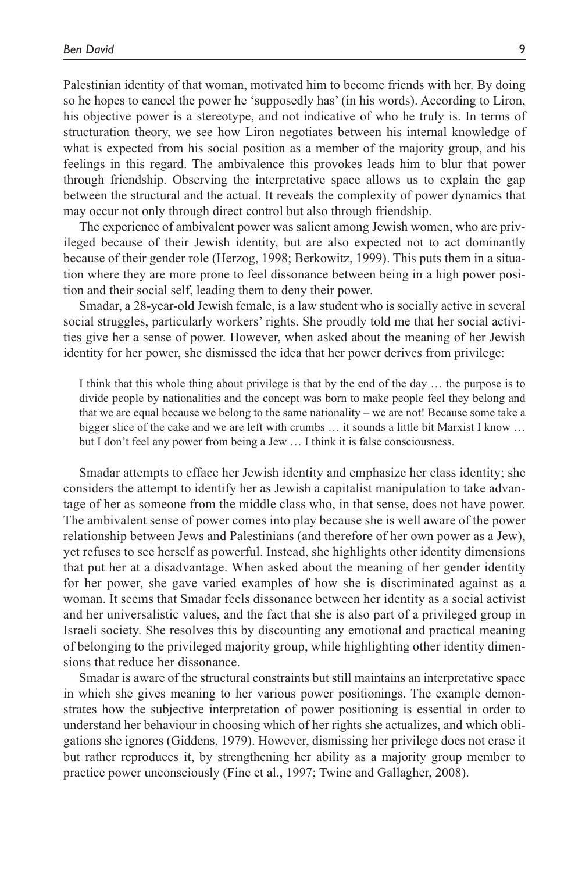Palestinian identity of that woman, motivated him to become friends with her. By doing so he hopes to cancel the power he 'supposedly has' (in his words). According to Liron, his objective power is a stereotype, and not indicative of who he truly is. In terms of structuration theory, we see how Liron negotiates between his internal knowledge of what is expected from his social position as a member of the majority group, and his feelings in this regard. The ambivalence this provokes leads him to blur that power through friendship. Observing the interpretative space allows us to explain the gap between the structural and the actual. It reveals the complexity of power dynamics that may occur not only through direct control but also through friendship.

The experience of ambivalent power was salient among Jewish women, who are privileged because of their Jewish identity, but are also expected not to act dominantly because of their gender role (Herzog, 1998; Berkowitz, 1999). This puts them in a situation where they are more prone to feel dissonance between being in a high power position and their social self, leading them to deny their power.

Smadar, a 28-year-old Jewish female, is a law student who is socially active in several social struggles, particularly workers' rights. She proudly told me that her social activities give her a sense of power. However, when asked about the meaning of her Jewish identity for her power, she dismissed the idea that her power derives from privilege:

I think that this whole thing about privilege is that by the end of the day … the purpose is to divide people by nationalities and the concept was born to make people feel they belong and that we are equal because we belong to the same nationality – we are not! Because some take a bigger slice of the cake and we are left with crumbs ... it sounds a little bit Marxist I know ... but I don't feel any power from being a Jew … I think it is false consciousness.

Smadar attempts to efface her Jewish identity and emphasize her class identity; she considers the attempt to identify her as Jewish a capitalist manipulation to take advantage of her as someone from the middle class who, in that sense, does not have power. The ambivalent sense of power comes into play because she is well aware of the power relationship between Jews and Palestinians (and therefore of her own power as a Jew), yet refuses to see herself as powerful. Instead, she highlights other identity dimensions that put her at a disadvantage. When asked about the meaning of her gender identity for her power, she gave varied examples of how she is discriminated against as a woman. It seems that Smadar feels dissonance between her identity as a social activist and her universalistic values, and the fact that she is also part of a privileged group in Israeli society. She resolves this by discounting any emotional and practical meaning of belonging to the privileged majority group, while highlighting other identity dimensions that reduce her dissonance.

Smadar is aware of the structural constraints but still maintains an interpretative space in which she gives meaning to her various power positionings. The example demonstrates how the subjective interpretation of power positioning is essential in order to understand her behaviour in choosing which of her rights she actualizes, and which obligations she ignores (Giddens, 1979). However, dismissing her privilege does not erase it but rather reproduces it, by strengthening her ability as a majority group member to practice power unconsciously (Fine et al., 1997; Twine and Gallagher, 2008).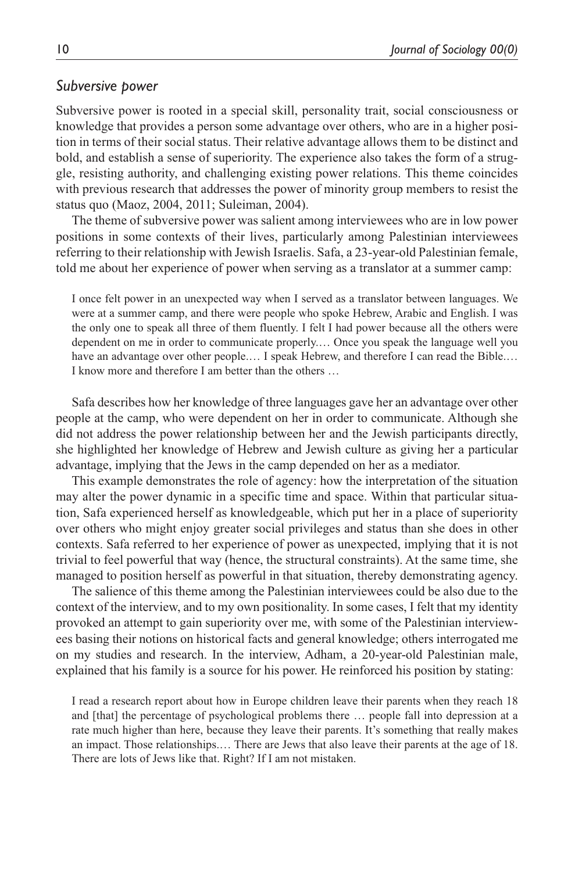## *Subversive power*

Subversive power is rooted in a special skill, personality trait, social consciousness or knowledge that provides a person some advantage over others, who are in a higher position in terms of their social status. Their relative advantage allows them to be distinct and bold, and establish a sense of superiority. The experience also takes the form of a struggle, resisting authority, and challenging existing power relations. This theme coincides with previous research that addresses the power of minority group members to resist the status quo (Maoz, 2004, 2011; Suleiman, 2004).

The theme of subversive power was salient among interviewees who are in low power positions in some contexts of their lives, particularly among Palestinian interviewees referring to their relationship with Jewish Israelis. Safa, a 23-year-old Palestinian female, told me about her experience of power when serving as a translator at a summer camp:

I once felt power in an unexpected way when I served as a translator between languages. We were at a summer camp, and there were people who spoke Hebrew, Arabic and English. I was the only one to speak all three of them fluently. I felt I had power because all the others were dependent on me in order to communicate properly.… Once you speak the language well you have an advantage over other people.... I speak Hebrew, and therefore I can read the Bible.... I know more and therefore I am better than the others …

Safa describes how her knowledge of three languages gave her an advantage over other people at the camp, who were dependent on her in order to communicate. Although she did not address the power relationship between her and the Jewish participants directly, she highlighted her knowledge of Hebrew and Jewish culture as giving her a particular advantage, implying that the Jews in the camp depended on her as a mediator.

This example demonstrates the role of agency: how the interpretation of the situation may alter the power dynamic in a specific time and space. Within that particular situation, Safa experienced herself as knowledgeable, which put her in a place of superiority over others who might enjoy greater social privileges and status than she does in other contexts. Safa referred to her experience of power as unexpected, implying that it is not trivial to feel powerful that way (hence, the structural constraints). At the same time, she managed to position herself as powerful in that situation, thereby demonstrating agency.

The salience of this theme among the Palestinian interviewees could be also due to the context of the interview, and to my own positionality. In some cases, I felt that my identity provoked an attempt to gain superiority over me, with some of the Palestinian interviewees basing their notions on historical facts and general knowledge; others interrogated me on my studies and research. In the interview, Adham, a 20-year-old Palestinian male, explained that his family is a source for his power. He reinforced his position by stating:

I read a research report about how in Europe children leave their parents when they reach 18 and [that] the percentage of psychological problems there … people fall into depression at a rate much higher than here, because they leave their parents. It's something that really makes an impact. Those relationships.… There are Jews that also leave their parents at the age of 18. There are lots of Jews like that. Right? If I am not mistaken.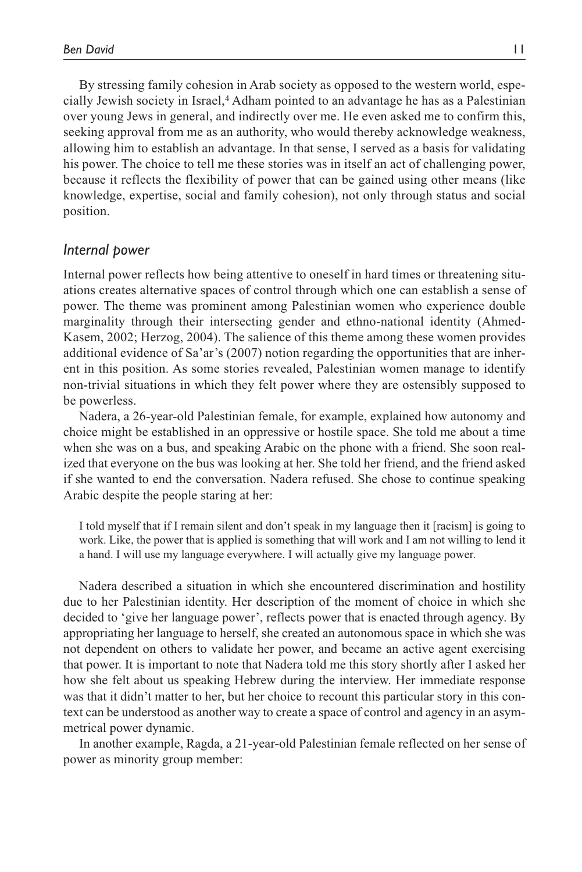By stressing family cohesion in Arab society as opposed to the western world, especially Jewish society in Israel,4 Adham pointed to an advantage he has as a Palestinian over young Jews in general, and indirectly over me. He even asked me to confirm this, seeking approval from me as an authority, who would thereby acknowledge weakness, allowing him to establish an advantage. In that sense, I served as a basis for validating his power. The choice to tell me these stories was in itself an act of challenging power, because it reflects the flexibility of power that can be gained using other means (like knowledge, expertise, social and family cohesion), not only through status and social position.

## *Internal power*

Internal power reflects how being attentive to oneself in hard times or threatening situations creates alternative spaces of control through which one can establish a sense of power. The theme was prominent among Palestinian women who experience double marginality through their intersecting gender and ethno-national identity (Ahmed-Kasem, 2002; Herzog, 2004). The salience of this theme among these women provides additional evidence of Sa'ar's (2007) notion regarding the opportunities that are inherent in this position. As some stories revealed, Palestinian women manage to identify non-trivial situations in which they felt power where they are ostensibly supposed to be powerless.

Nadera, a 26-year-old Palestinian female, for example, explained how autonomy and choice might be established in an oppressive or hostile space. She told me about a time when she was on a bus, and speaking Arabic on the phone with a friend. She soon realized that everyone on the bus was looking at her. She told her friend, and the friend asked if she wanted to end the conversation. Nadera refused. She chose to continue speaking Arabic despite the people staring at her:

I told myself that if I remain silent and don't speak in my language then it [racism] is going to work. Like, the power that is applied is something that will work and I am not willing to lend it a hand. I will use my language everywhere. I will actually give my language power.

Nadera described a situation in which she encountered discrimination and hostility due to her Palestinian identity. Her description of the moment of choice in which she decided to 'give her language power', reflects power that is enacted through agency. By appropriating her language to herself, she created an autonomous space in which she was not dependent on others to validate her power, and became an active agent exercising that power. It is important to note that Nadera told me this story shortly after I asked her how she felt about us speaking Hebrew during the interview. Her immediate response was that it didn't matter to her, but her choice to recount this particular story in this context can be understood as another way to create a space of control and agency in an asymmetrical power dynamic.

In another example, Ragda, a 21-year-old Palestinian female reflected on her sense of power as minority group member: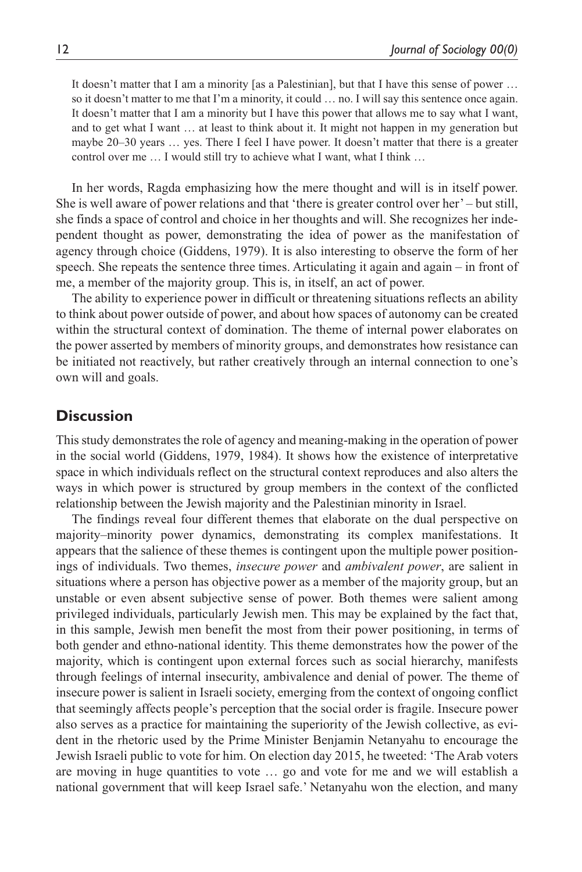It doesn't matter that I am a minority [as a Palestinian], but that I have this sense of power … so it doesn't matter to me that I'm a minority, it could … no. I will say this sentence once again. It doesn't matter that I am a minority but I have this power that allows me to say what I want, and to get what I want … at least to think about it. It might not happen in my generation but maybe 20–30 years … yes. There I feel I have power. It doesn't matter that there is a greater control over me … I would still try to achieve what I want, what I think …

In her words, Ragda emphasizing how the mere thought and will is in itself power. She is well aware of power relations and that 'there is greater control over her' – but still, she finds a space of control and choice in her thoughts and will. She recognizes her independent thought as power, demonstrating the idea of power as the manifestation of agency through choice (Giddens, 1979). It is also interesting to observe the form of her speech. She repeats the sentence three times. Articulating it again and again – in front of me, a member of the majority group. This is, in itself, an act of power.

The ability to experience power in difficult or threatening situations reflects an ability to think about power outside of power, and about how spaces of autonomy can be created within the structural context of domination. The theme of internal power elaborates on the power asserted by members of minority groups, and demonstrates how resistance can be initiated not reactively, but rather creatively through an internal connection to one's own will and goals.

## **Discussion**

This study demonstrates the role of agency and meaning-making in the operation of power in the social world (Giddens, 1979, 1984). It shows how the existence of interpretative space in which individuals reflect on the structural context reproduces and also alters the ways in which power is structured by group members in the context of the conflicted relationship between the Jewish majority and the Palestinian minority in Israel.

The findings reveal four different themes that elaborate on the dual perspective on majority–minority power dynamics, demonstrating its complex manifestations. It appears that the salience of these themes is contingent upon the multiple power positionings of individuals. Two themes, *insecure power* and *ambivalent power*, are salient in situations where a person has objective power as a member of the majority group, but an unstable or even absent subjective sense of power. Both themes were salient among privileged individuals, particularly Jewish men. This may be explained by the fact that, in this sample, Jewish men benefit the most from their power positioning, in terms of both gender and ethno-national identity. This theme demonstrates how the power of the majority, which is contingent upon external forces such as social hierarchy, manifests through feelings of internal insecurity, ambivalence and denial of power. The theme of insecure power is salient in Israeli society, emerging from the context of ongoing conflict that seemingly affects people's perception that the social order is fragile. Insecure power also serves as a practice for maintaining the superiority of the Jewish collective, as evident in the rhetoric used by the Prime Minister Benjamin Netanyahu to encourage the Jewish Israeli public to vote for him. On election day 2015, he tweeted: 'The Arab voters are moving in huge quantities to vote … go and vote for me and we will establish a national government that will keep Israel safe.' Netanyahu won the election, and many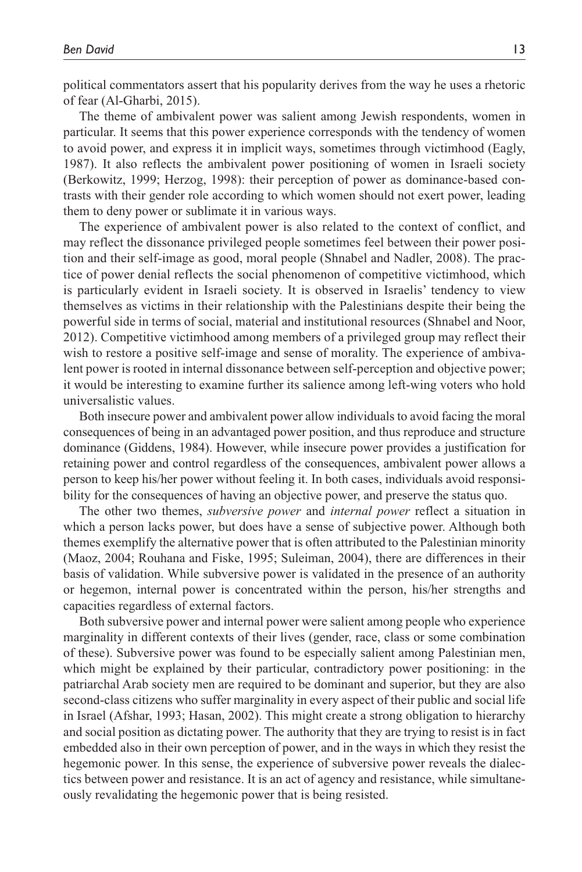political commentators assert that his popularity derives from the way he uses a rhetoric of fear (Al-Gharbi, 2015).

The theme of ambivalent power was salient among Jewish respondents, women in particular. It seems that this power experience corresponds with the tendency of women to avoid power, and express it in implicit ways, sometimes through victimhood (Eagly, 1987). It also reflects the ambivalent power positioning of women in Israeli society (Berkowitz, 1999; Herzog, 1998): their perception of power as dominance-based contrasts with their gender role according to which women should not exert power, leading them to deny power or sublimate it in various ways.

The experience of ambivalent power is also related to the context of conflict, and may reflect the dissonance privileged people sometimes feel between their power position and their self-image as good, moral people (Shnabel and Nadler, 2008). The practice of power denial reflects the social phenomenon of competitive victimhood, which is particularly evident in Israeli society. It is observed in Israelis' tendency to view themselves as victims in their relationship with the Palestinians despite their being the powerful side in terms of social, material and institutional resources (Shnabel and Noor, 2012). Competitive victimhood among members of a privileged group may reflect their wish to restore a positive self-image and sense of morality. The experience of ambivalent power is rooted in internal dissonance between self-perception and objective power; it would be interesting to examine further its salience among left-wing voters who hold universalistic values.

Both insecure power and ambivalent power allow individuals to avoid facing the moral consequences of being in an advantaged power position, and thus reproduce and structure dominance (Giddens, 1984). However, while insecure power provides a justification for retaining power and control regardless of the consequences, ambivalent power allows a person to keep his/her power without feeling it. In both cases, individuals avoid responsibility for the consequences of having an objective power, and preserve the status quo.

The other two themes, *subversive power* and *internal power* reflect a situation in which a person lacks power, but does have a sense of subjective power. Although both themes exemplify the alternative power that is often attributed to the Palestinian minority (Maoz, 2004; Rouhana and Fiske, 1995; Suleiman, 2004), there are differences in their basis of validation. While subversive power is validated in the presence of an authority or hegemon, internal power is concentrated within the person, his/her strengths and capacities regardless of external factors.

Both subversive power and internal power were salient among people who experience marginality in different contexts of their lives (gender, race, class or some combination of these). Subversive power was found to be especially salient among Palestinian men, which might be explained by their particular, contradictory power positioning: in the patriarchal Arab society men are required to be dominant and superior, but they are also second-class citizens who suffer marginality in every aspect of their public and social life in Israel (Afshar, 1993; Hasan, 2002). This might create a strong obligation to hierarchy and social position as dictating power. The authority that they are trying to resist is in fact embedded also in their own perception of power, and in the ways in which they resist the hegemonic power. In this sense, the experience of subversive power reveals the dialectics between power and resistance. It is an act of agency and resistance, while simultaneously revalidating the hegemonic power that is being resisted.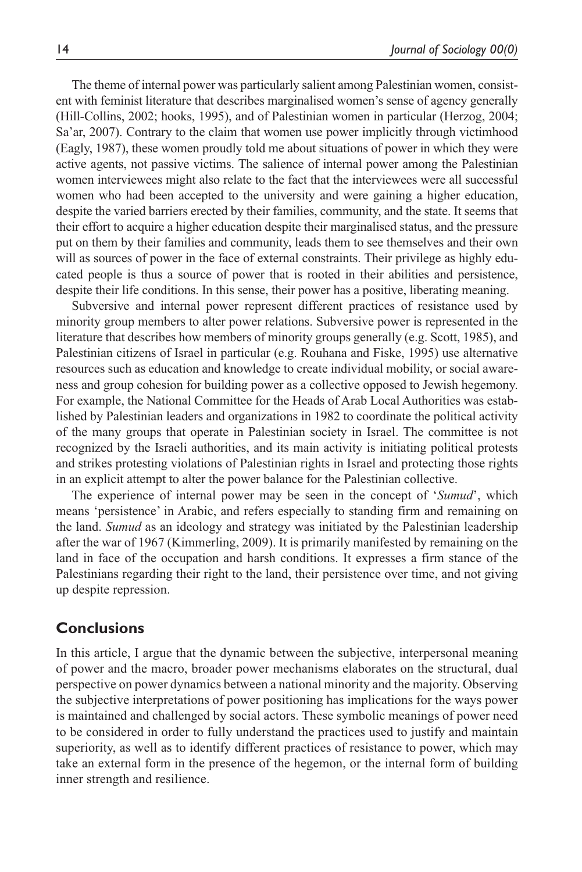The theme of internal power was particularly salient among Palestinian women, consistent with feminist literature that describes marginalised women's sense of agency generally (Hill-Collins, 2002; hooks, 1995), and of Palestinian women in particular (Herzog, 2004; Sa'ar, 2007). Contrary to the claim that women use power implicitly through victimhood (Eagly, 1987), these women proudly told me about situations of power in which they were active agents, not passive victims. The salience of internal power among the Palestinian women interviewees might also relate to the fact that the interviewees were all successful women who had been accepted to the university and were gaining a higher education, despite the varied barriers erected by their families, community, and the state. It seems that their effort to acquire a higher education despite their marginalised status, and the pressure put on them by their families and community, leads them to see themselves and their own will as sources of power in the face of external constraints. Their privilege as highly educated people is thus a source of power that is rooted in their abilities and persistence, despite their life conditions. In this sense, their power has a positive, liberating meaning.

Subversive and internal power represent different practices of resistance used by minority group members to alter power relations. Subversive power is represented in the literature that describes how members of minority groups generally (e.g. Scott, 1985), and Palestinian citizens of Israel in particular (e.g. Rouhana and Fiske, 1995) use alternative resources such as education and knowledge to create individual mobility, or social awareness and group cohesion for building power as a collective opposed to Jewish hegemony. For example, the National Committee for the Heads of Arab Local Authorities was established by Palestinian leaders and organizations in 1982 to coordinate the political activity of the many groups that operate in Palestinian society in Israel. The committee is not recognized by the Israeli authorities, and its main activity is initiating political protests and strikes protesting violations of Palestinian rights in Israel and protecting those rights in an explicit attempt to alter the power balance for the Palestinian collective.

The experience of internal power may be seen in the concept of '*Sumud*', which means 'persistence' in Arabic, and refers especially to standing firm and remaining on the land. *Sumud* as an ideology and strategy was initiated by the Palestinian leadership after the war of 1967 (Kimmerling, 2009). It is primarily manifested by remaining on the land in face of the occupation and harsh conditions. It expresses a firm stance of the Palestinians regarding their right to the land, their persistence over time, and not giving up despite repression.

# **Conclusions**

In this article, I argue that the dynamic between the subjective, interpersonal meaning of power and the macro, broader power mechanisms elaborates on the structural, dual perspective on power dynamics between a national minority and the majority. Observing the subjective interpretations of power positioning has implications for the ways power is maintained and challenged by social actors. These symbolic meanings of power need to be considered in order to fully understand the practices used to justify and maintain superiority, as well as to identify different practices of resistance to power, which may take an external form in the presence of the hegemon, or the internal form of building inner strength and resilience.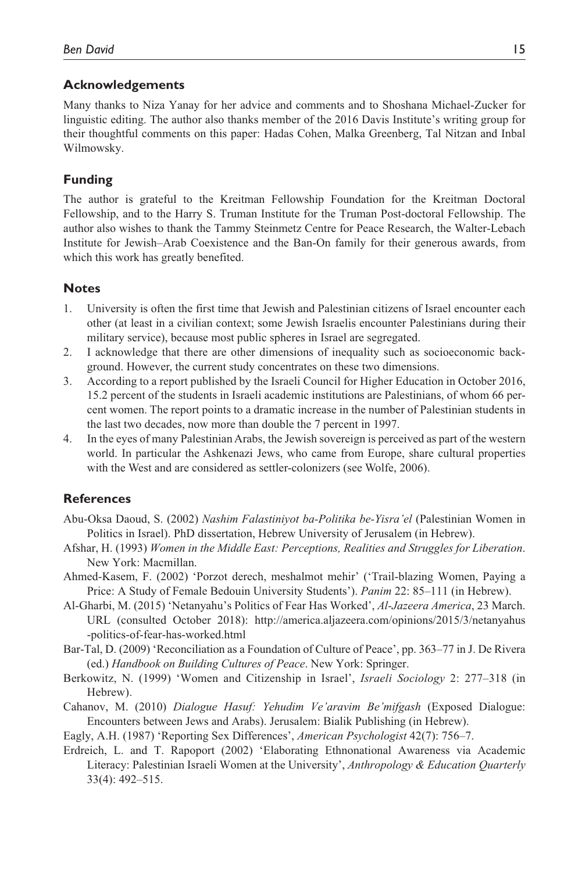### **Acknowledgements**

Many thanks to Niza Yanay for her advice and comments and to Shoshana Michael-Zucker for linguistic editing. The author also thanks member of the 2016 Davis Institute's writing group for their thoughtful comments on this paper: Hadas Cohen, Malka Greenberg, Tal Nitzan and Inbal Wilmowsky.

## **Funding**

The author is grateful to the Kreitman Fellowship Foundation for the Kreitman Doctoral Fellowship, and to the Harry S. Truman Institute for the Truman Post-doctoral Fellowship. The author also wishes to thank the Tammy Steinmetz Centre for Peace Research, the Walter-Lebach Institute for Jewish–Arab Coexistence and the Ban-On family for their generous awards, from which this work has greatly benefited.

#### **Notes**

- 1. University is often the first time that Jewish and Palestinian citizens of Israel encounter each other (at least in a civilian context; some Jewish Israelis encounter Palestinians during their military service), because most public spheres in Israel are segregated.
- 2. I acknowledge that there are other dimensions of inequality such as socioeconomic background. However, the current study concentrates on these two dimensions.
- 3. According to a report published by the Israeli Council for Higher Education in October 2016, 15.2 percent of the students in Israeli academic institutions are Palestinians, of whom 66 percent women. The report points to a dramatic increase in the number of Palestinian students in the last two decades, now more than double the 7 percent in 1997.
- 4. In the eyes of many Palestinian Arabs, the Jewish sovereign is perceived as part of the western world. In particular the Ashkenazi Jews, who came from Europe, share cultural properties with the West and are considered as settler-colonizers (see Wolfe, 2006).

### **References**

- Abu-Oksa Daoud, S. (2002) *Nashim Falastiniyot ba-Politika be-Yisra'el* (Palestinian Women in Politics in Israel). PhD dissertation, Hebrew University of Jerusalem (in Hebrew).
- Afshar, H. (1993) *Women in the Middle East: Perceptions, Realities and Struggles for Liberation*. New York: Macmillan.
- Ahmed-Kasem, F. (2002) 'Porzot derech, meshalmot mehir' ('Trail-blazing Women, Paying a Price: A Study of Female Bedouin University Students'). *Panim* 22: 85–111 (in Hebrew).
- Al-Gharbi, M. (2015) 'Netanyahu's Politics of Fear Has Worked', *Al-Jazeera America*, 23 March. URL (consulted October 2018): [http://america.aljazeera.com/opinions/2015/3/netanyahus](http://america.aljazeera.com/opinions/2015/3/netanyahus-politics-of-fear-has-worked.html) [-politics-of-fear-has-worked.html](http://america.aljazeera.com/opinions/2015/3/netanyahus-politics-of-fear-has-worked.html)
- Bar-Tal, D. (2009) 'Reconciliation as a Foundation of Culture of Peace', pp. 363–77 in J. De Rivera (ed.) *Handbook on Building Cultures of Peace*. New York: Springer.
- Berkowitz, N. (1999) 'Women and Citizenship in Israel', *Israeli Sociology* 2: 277–318 (in Hebrew).
- Cahanov, M. (2010) *Dialogue Hasuf: Yehudim Ve'aravim Be'mifgash* (Exposed Dialogue: Encounters between Jews and Arabs). Jerusalem: Bialik Publishing (in Hebrew).
- Eagly, A.H. (1987) 'Reporting Sex Differences', *American Psychologist* 42(7): 756–7.
- Erdreich, L. and T. Rapoport (2002) 'Elaborating Ethnonational Awareness via Academic Literacy: Palestinian Israeli Women at the University', *Anthropology & Education Quarterly* 33(4): 492–515.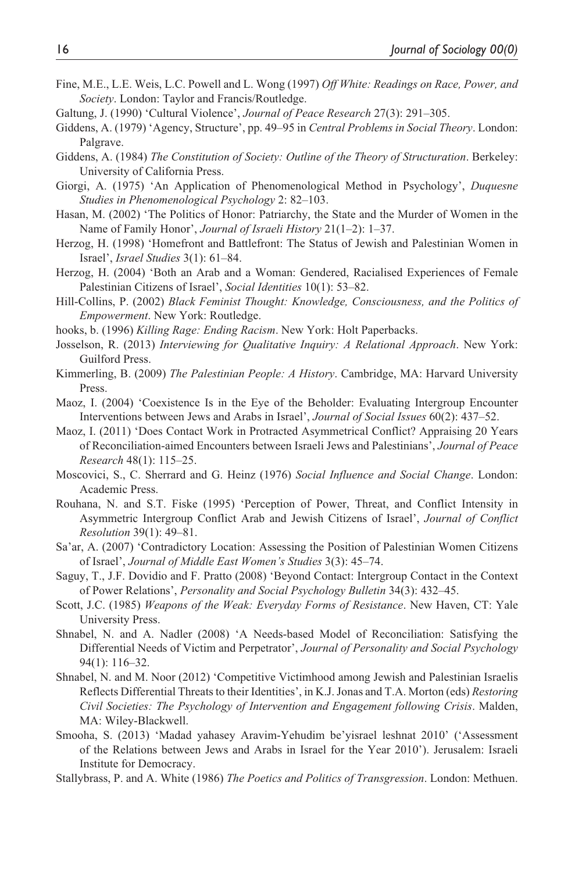- Fine, M.E., L.E. Weis, L.C. Powell and L. Wong (1997) *Off White: Readings on Race, Power, and Society*. London: Taylor and Francis/Routledge.
- Galtung, J. (1990) 'Cultural Violence', *Journal of Peace Research* 27(3): 291–305.
- Giddens, A. (1979) 'Agency, Structure', pp. 49–95 in *Central Problems in Social Theory*. London: Palgrave.
- Giddens, A. (1984) *The Constitution of Society: Outline of the Theory of Structuration*. Berkeley: University of California Press.
- Giorgi, A. (1975) 'An Application of Phenomenological Method in Psychology', *Duquesne Studies in Phenomenological Psychology* 2: 82–103.
- Hasan, M. (2002) 'The Politics of Honor: Patriarchy, the State and the Murder of Women in the Name of Family Honor', *Journal of Israeli History* 21(1–2): 1–37.
- Herzog, H. (1998) 'Homefront and Battlefront: The Status of Jewish and Palestinian Women in Israel', *Israel Studies* 3(1): 61–84.
- Herzog, H. (2004) 'Both an Arab and a Woman: Gendered, Racialised Experiences of Female Palestinian Citizens of Israel', *Social Identities* 10(1): 53–82.
- Hill-Collins, P. (2002) *Black Feminist Thought: Knowledge, Consciousness, and the Politics of Empowerment*. New York: Routledge.
- hooks, b. (1996) *Killing Rage: Ending Racism*. New York: Holt Paperbacks.
- Josselson, R. (2013) *Interviewing for Qualitative Inquiry: A Relational Approach*. New York: Guilford Press.
- Kimmerling, B. (2009) *The Palestinian People: A History*. Cambridge, MA: Harvard University Press.
- Maoz, I. (2004) 'Coexistence Is in the Eye of the Beholder: Evaluating Intergroup Encounter Interventions between Jews and Arabs in Israel', *Journal of Social Issues* 60(2): 437–52.
- Maoz, I. (2011) 'Does Contact Work in Protracted Asymmetrical Conflict? Appraising 20 Years of Reconciliation-aimed Encounters between Israeli Jews and Palestinians', *Journal of Peace Research* 48(1): 115–25.
- Moscovici, S., C. Sherrard and G. Heinz (1976) *Social Influence and Social Change*. London: Academic Press.
- Rouhana, N. and S.T. Fiske (1995) 'Perception of Power, Threat, and Conflict Intensity in Asymmetric Intergroup Conflict Arab and Jewish Citizens of Israel', *Journal of Conflict Resolution* 39(1): 49–81.
- Sa'ar, A. (2007) 'Contradictory Location: Assessing the Position of Palestinian Women Citizens of Israel', *Journal of Middle East Women's Studies* 3(3): 45–74.
- Saguy, T., J.F. Dovidio and F. Pratto (2008) 'Beyond Contact: Intergroup Contact in the Context of Power Relations', *Personality and Social Psychology Bulletin* 34(3): 432–45.
- Scott, J.C. (1985) *Weapons of the Weak: Everyday Forms of Resistance*. New Haven, CT: Yale University Press.
- Shnabel, N. and A. Nadler (2008) 'A Needs-based Model of Reconciliation: Satisfying the Differential Needs of Victim and Perpetrator', *Journal of Personality and Social Psychology* 94(1): 116–32.
- Shnabel, N. and M. Noor (2012) 'Competitive Victimhood among Jewish and Palestinian Israelis Reflects Differential Threats to their Identities', in K.J. Jonas and T.A. Morton (eds) *Restoring Civil Societies: The Psychology of Intervention and Engagement following Crisis*. Malden, MA: Wiley-Blackwell.
- Smooha, S. (2013) 'Madad yahasey Aravim-Yehudim be'yisrael leshnat 2010' ('Assessment of the Relations between Jews and Arabs in Israel for the Year 2010'). Jerusalem: Israeli Institute for Democracy.
- Stallybrass, P. and A. White (1986) *The Poetics and Politics of Transgression*. London: Methuen.